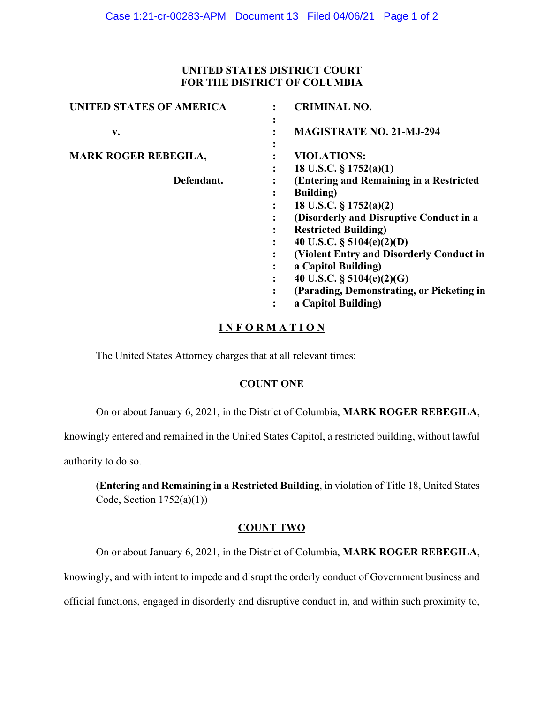### **UNITED STATES DISTRICT COURT FOR THE DISTRICT OF COLUMBIA**

| <b>UNITED STATES OF AMERICA</b> | <b>CRIMINAL NO.</b>                          |
|---------------------------------|----------------------------------------------|
| v.                              | $\bullet$<br><b>MAGISTRATE NO. 21-MJ-294</b> |
| <b>MARK ROGER REBEGILA,</b>     | <b>VIOLATIONS:</b>                           |
|                                 | 18 U.S.C. $\S 1752(a)(1)$                    |
| Defendant.                      | (Entering and Remaining in a Restricted      |
|                                 | <b>Building</b> )<br>٠                       |
|                                 | 18 U.S.C. $\S 1752(a)(2)$                    |
|                                 | (Disorderly and Disruptive Conduct in a      |
|                                 | <b>Restricted Building)</b>                  |
|                                 | 40 U.S.C. $\S$ 5104(e)(2)(D)<br>٠            |
|                                 | (Violent Entry and Disorderly Conduct in     |
|                                 | a Capitol Building)                          |
|                                 | 40 U.S.C. $\S$ 5104(e)(2)(G)<br>٠            |
|                                 | (Parading, Demonstrating, or Picketing in    |
|                                 | a Capitol Building)<br>٠                     |
|                                 |                                              |

## **I N F O R M A T I O N**

The United States Attorney charges that at all relevant times:

#### **COUNT ONE**

On or about January 6, 2021, in the District of Columbia, **MARK ROGER REBEGILA**,

knowingly entered and remained in the United States Capitol, a restricted building, without lawful

authority to do so.

(**Entering and Remaining in a Restricted Building**, in violation of Title 18, United States Code, Section  $1752(a)(1)$ )

### **COUNT TWO**

On or about January 6, 2021, in the District of Columbia, **MARK ROGER REBEGILA**,

knowingly, and with intent to impede and disrupt the orderly conduct of Government business and

official functions, engaged in disorderly and disruptive conduct in, and within such proximity to,